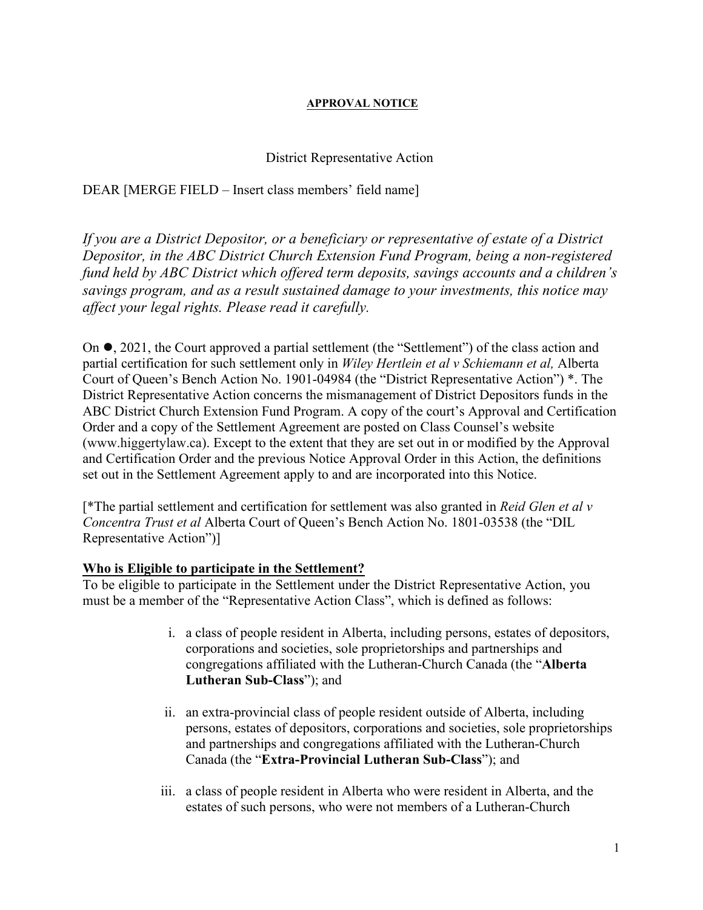### **APPROVAL NOTICE**

### District Representative Action

## DEAR [MERGE FIELD – Insert class members' field name]

*If you are a District Depositor, or a beneficiary or representative of estate of a District Depositor, in the ABC District Church Extension Fund Program, being a non-registered fund held by ABC District which offered term deposits, savings accounts and a children's savings program, and as a result sustained damage to your investments, this notice may affect your legal rights. Please read it carefully.*

On  $\bullet$ , 2021, the Court approved a partial settlement (the "Settlement") of the class action and partial certification for such settlement only in *Wiley Hertlein et al v Schiemann et al,* Alberta Court of Queen's Bench Action No. 1901-04984 (the "District Representative Action") \*. The District Representative Action concerns the mismanagement of District Depositors funds in the ABC District Church Extension Fund Program. A copy of the court's Approval and Certification Order and a copy of the Settlement Agreement are posted on Class Counsel's website [\(www.higgertylaw.](http://www.higgertylaw/)ca). Except to the extent that they are set out in or modified by the Approval and Certification Order and the previous Notice Approval Order in this Action, the definitions set out in the Settlement Agreement apply to and are incorporated into this Notice.

[\*The partial settlement and certification for settlement was also granted in *Reid Glen et al v Concentra Trust et al* Alberta Court of Queen's Bench Action No. 1801-03538 (the "DIL Representative Action")]

### **Who is Eligible to participate in the Settlement?**

To be eligible to participate in the Settlement under the District Representative Action, you must be a member of the "Representative Action Class", which is defined as follows:

- i. a class of people resident in Alberta, including persons, estates of depositors, corporations and societies, sole proprietorships and partnerships and congregations affiliated with the Lutheran-Church Canada (the "**Alberta Lutheran Sub-Class**"); and
- ii. an extra-provincial class of people resident outside of Alberta, including persons, estates of depositors, corporations and societies, sole proprietorships and partnerships and congregations affiliated with the Lutheran-Church Canada (the "**Extra-Provincial Lutheran Sub-Class**"); and
- iii. a class of people resident in Alberta who were resident in Alberta, and the estates of such persons, who were not members of a Lutheran-Church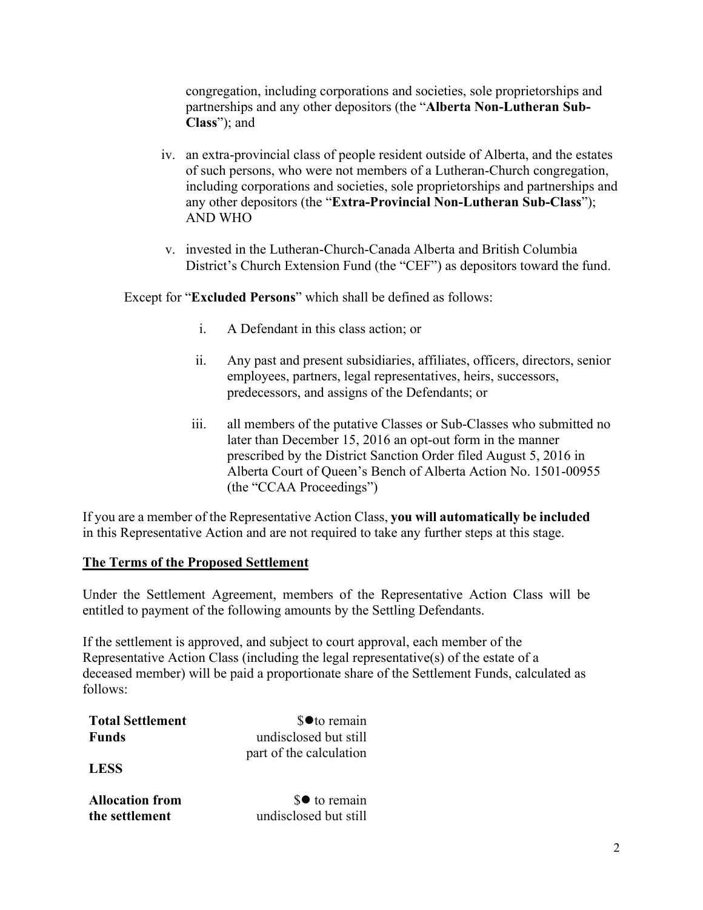congregation, including corporations and societies, sole proprietorships and partnerships and any other depositors (the "**Alberta Non-Lutheran Sub-Class**"); and

- iv. an extra-provincial class of people resident outside of Alberta, and the estates of such persons, who were not members of a Lutheran-Church congregation, including corporations and societies, sole proprietorships and partnerships and any other depositors (the "**Extra-Provincial Non-Lutheran Sub-Class**"); AND WHO
- v. invested in the Lutheran-Church-Canada Alberta and British Columbia District's Church Extension Fund (the "CEF") as depositors toward the fund.

Except for "**Excluded Persons**" which shall be defined as follows:

- i. A Defendant in this class action; or
- ii. Any past and present subsidiaries, affiliates, officers, directors, senior employees, partners, legal representatives, heirs, successors, predecessors, and assigns of the Defendants; or
- iii. all members of the putative Classes or Sub-Classes who submitted no later than December 15, 2016 an opt-out form in the manner prescribed by the District Sanction Order filed August 5, 2016 in Alberta Court of Queen's Bench of Alberta Action No. 1501-00955 (the "CCAA Proceedings")

If you are a member of the Representative Action Class, **you will automatically be included**  in this Representative Action and are not required to take any further steps at this stage.

## **The Terms of the Proposed Settlement**

Under the Settlement Agreement, members of the Representative Action Class will be entitled to payment of the following amounts by the Settling Defendants.

If the settlement is approved, and subject to court approval, each member of the Representative Action Class (including the legal representative(s) of the estate of a deceased member) will be paid a proportionate share of the Settlement Funds, calculated as follows:

| <b>Total Settlement</b> | \$● to remain           |
|-------------------------|-------------------------|
| <b>Funds</b>            | undisclosed but still   |
|                         | part of the calculation |

**LESS**

**Allocation from the settlement** 

 $\mathbf{\$} \bullet$  to remain undisclosed but still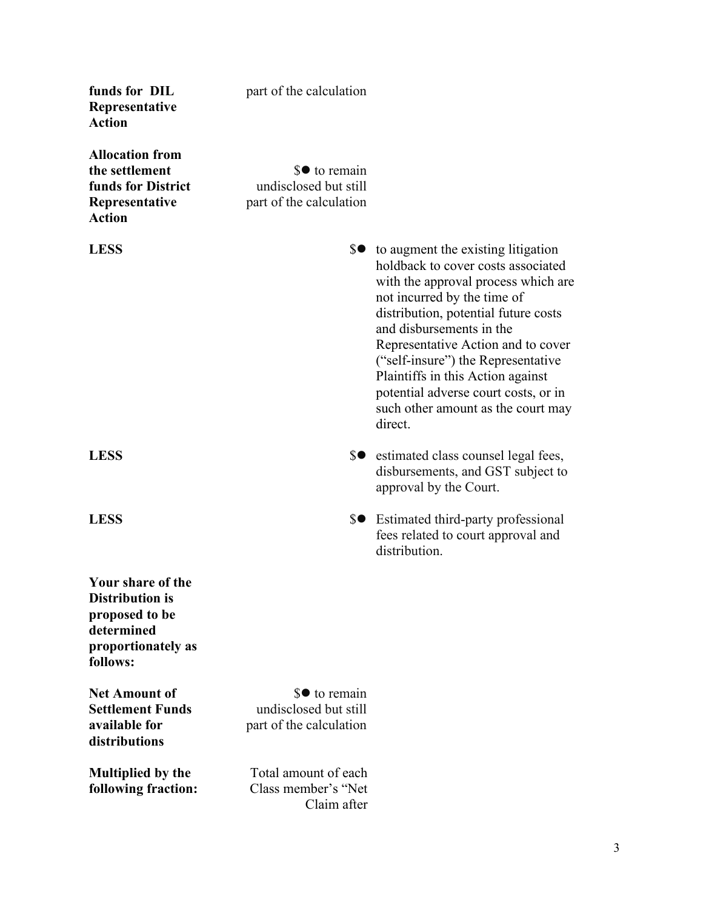| funds for DIL<br>Representative<br><b>Action</b>                                                              | part of the calculation                                           |                                                                                                                                                                                                                                                                                                                                                                                                                                  |
|---------------------------------------------------------------------------------------------------------------|-------------------------------------------------------------------|----------------------------------------------------------------------------------------------------------------------------------------------------------------------------------------------------------------------------------------------------------------------------------------------------------------------------------------------------------------------------------------------------------------------------------|
| <b>Allocation from</b><br>the settlement<br>funds for District<br>Representative<br><b>Action</b>             | \$● to remain<br>undisclosed but still<br>part of the calculation |                                                                                                                                                                                                                                                                                                                                                                                                                                  |
| <b>LESS</b>                                                                                                   |                                                                   | \$● to augment the existing litigation<br>holdback to cover costs associated<br>with the approval process which are<br>not incurred by the time of<br>distribution, potential future costs<br>and disbursements in the<br>Representative Action and to cover<br>("self-insure") the Representative<br>Plaintiffs in this Action against<br>potential adverse court costs, or in<br>such other amount as the court may<br>direct. |
| <b>LESS</b>                                                                                                   |                                                                   | \$● estimated class counsel legal fees,<br>disbursements, and GST subject to<br>approval by the Court.                                                                                                                                                                                                                                                                                                                           |
| <b>LESS</b>                                                                                                   |                                                                   | \$● Estimated third-party professional<br>fees related to court approval and<br>distribution.                                                                                                                                                                                                                                                                                                                                    |
| Your share of the<br><b>Distribution is</b><br>proposed to be<br>determined<br>proportionately as<br>follows: |                                                                   |                                                                                                                                                                                                                                                                                                                                                                                                                                  |
| <b>Net Amount of</b><br><b>Settlement Funds</b><br>available for<br>distributions                             | \$● to remain<br>undisclosed but still<br>part of the calculation |                                                                                                                                                                                                                                                                                                                                                                                                                                  |
| <b>Multiplied by the</b><br>following fraction:                                                               | Total amount of each<br>Class member's "Net<br>Claim after        |                                                                                                                                                                                                                                                                                                                                                                                                                                  |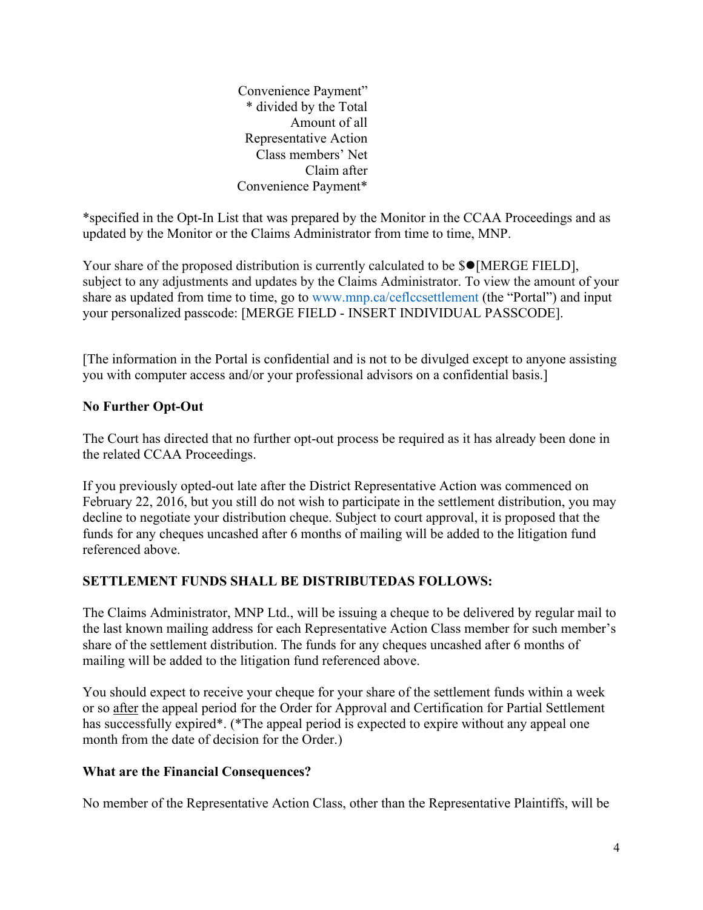Convenience Payment" \* divided by the Total Amount of all Representative Action Class members' Net Claim after Convenience Payment\*

\*specified in the Opt-In List that was prepared by the Monitor in the CCAA Proceedings and as updated by the Monitor or the Claims Administrator from time to time, MNP.

Your share of the proposed distribution is currently calculated to be  $\mathcal{S}$  [MERGE FIELD], subject to any adjustments and updates by the Claims Administrator. To view the amount of your share as updated from time to time, go to www.mnp.ca/ceflccsettlement (the "Portal") and input your personalized passcode: [MERGE FIELD - INSERT INDIVIDUAL PASSCODE].

[The information in the Portal is confidential and is not to be divulged except to anyone assisting you with computer access and/or your professional advisors on a confidential basis.]

# **No Further Opt-Out**

The Court has directed that no further opt-out process be required as it has already been done in the related CCAA Proceedings.

If you previously opted-out late after the District Representative Action was commenced on February 22, 2016, but you still do not wish to participate in the settlement distribution, you may decline to negotiate your distribution cheque. Subject to court approval, it is proposed that the funds for any cheques uncashed after 6 months of mailing will be added to the litigation fund referenced above.

# **SETTLEMENT FUNDS SHALL BE DISTRIBUTEDAS FOLLOWS:**

The Claims Administrator, MNP Ltd., will be issuing a cheque to be delivered by regular mail to the last known mailing address for each Representative Action Class member for such member's share of the settlement distribution. The funds for any cheques uncashed after 6 months of mailing will be added to the litigation fund referenced above.

You should expect to receive your cheque for your share of the settlement funds within a week or so after the appeal period for the Order for Approval and Certification for Partial Settlement has successfully expired\*. (\*The appeal period is expected to expire without any appeal one month from the date of decision for the Order.)

## **What are the Financial Consequences?**

No member of the Representative Action Class, other than the Representative Plaintiffs, will be